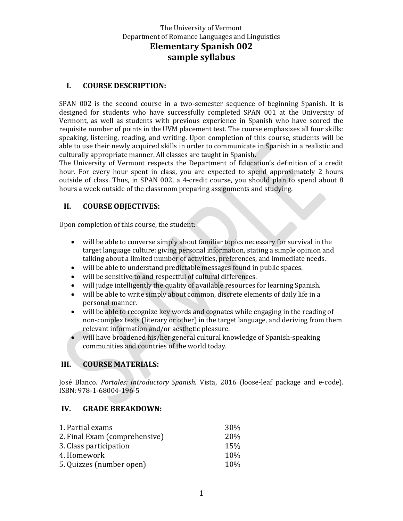#### **I. COURSE DESCRIPTION:**

SPAN 002 is the second course in a two-semester sequence of beginning Spanish. It is designed for students who have successfully completed SPAN 001 at the University of Vermont, as well as students with previous experience in Spanish who have scored the requisite number of points in the UVM placement test. The course emphasizes all four skills: speaking, listening, reading, and writing. Upon completion of this course, students will be able to use their newly acquired skills in order to communicate in Spanish in a realistic and culturally appropriate manner. All classes are taught in Spanish.

The University of Vermont respects the Department of Education's definition of a credit hour. For every hour spent in class, you are expected to spend approximately 2 hours outside of class. Thus, in SPAN 002, a 4-credit course, you should plan to spend about 8 hours a week outside of the classroom preparing assignments and studying.

### **II. COURSE OBJECTIVES:**

Upon completion of this course, the student:

- will be able to converse simply about familiar topics necessary for survival in the target language culture: giving personal information, stating a simple opinion and talking about a limited number of activities, preferences, and immediate needs.
- will be able to understand predictable messages found in public spaces.
- will be sensitive to and respectful of cultural differences.
- will judge intelligently the quality of available resources for learning Spanish.
- will be able to write simply about common, discrete elements of daily life in a personal manner.
- will be able to recognize key words and cognates while engaging in the reading of non-complex texts (literary or other) in the target language, and deriving from them relevant information and/or aesthetic pleasure.
- will have broadened his/her general cultural knowledge of Spanish-speaking communities and countries of the world today.

# **III. COURSE MATERIALS:**

José Blanco. *Portales: Introductory Spanish*. Vista, 2016 (loose-leaf package and e-code). ISBN: 978-1-68004-196-5

#### **IV. GRADE BREAKDOWN:**

| 1. Partial exams              | 30%  |
|-------------------------------|------|
| 2. Final Exam (comprehensive) | 20%  |
| 3. Class participation        | 15%  |
| 4. Homework                   | 10\% |
| 5. Quizzes (number open)      | 10\% |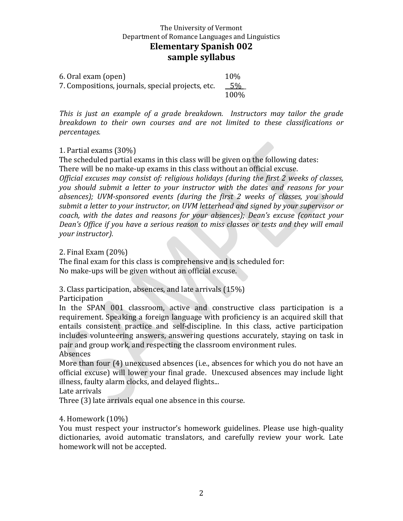6. Oral exam (open) 10% 7. Compositions, journals, special projects, etc. 5% \_ 100%

*This is just an example of a grade breakdown. Instructors may tailor the grade breakdown to their own courses and are not limited to these classifications or percentages.*

### 1. Partial exams (30%)

The scheduled partial exams in this class will be given on the following dates: There will be no make-up exams in this class without an official excuse.

*Official excuses may consist of: religious holidays (during the first 2 weeks of classes, you should submit a letter to your instructor with the dates and reasons for your absences); UVM-sponsored events (during the first 2 weeks of classes, you should submit a letter to your instructor, on UVM letterhead and signed by your supervisor or coach, with the dates and reasons for your absences); Dean's excuse (contact your Dean's Office if you have a serious reason to miss classes or tests and they will email your instructor).*

2. Final Exam (20%)

The final exam for this class is comprehensive and is scheduled for: No make-ups will be given without an official excuse.

3. Class participation, absences, and late arrivals (15%)

**Participation** 

In the SPAN 001 classroom, active and constructive class participation is a requirement. Speaking a foreign language with proficiency is an acquired skill that entails consistent practice and self-discipline. In this class, active participation includes volunteering answers, answering questions accurately, staying on task in pair and group work, and respecting the classroom environment rules.

Absences

More than four (4) unexcused absences (i.e., absences for which you do not have an official excuse) will lower your final grade. Unexcused absences may include light illness, faulty alarm clocks, and delayed flights...

Late arrivals

Three (3) late arrivals equal one absence in this course.

#### 4. Homework (10%)

You must respect your instructor's homework guidelines. Please use high-quality dictionaries, avoid automatic translators, and carefully review your work. Late homework will not be accepted.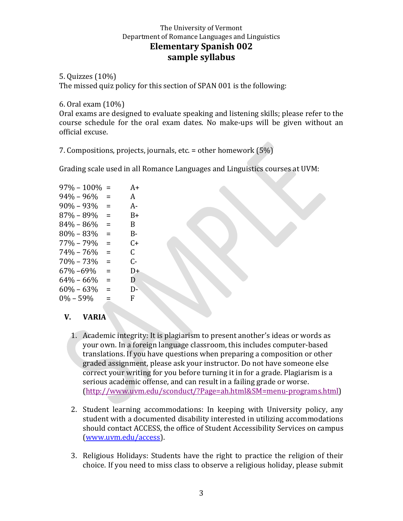# 5. Quizzes (10%)

The missed quiz policy for this section of SPAN 001 is the following:

#### 6. Oral exam (10%)

Oral exams are designed to evaluate speaking and listening skills; please refer to the course schedule for the oral exam dates. No make-ups will be given without an official excuse.

7. Compositions, projects, journals, etc. = other homework (5%)

Grading scale used in all Romance Languages and Linguistics courses at UVM:

| $97\% - 100\%$ | $=$      | $A+$ |
|----------------|----------|------|
| $94\% - 96\%$  | =        | A    |
| $90\% - 93\%$  | =        | $A-$ |
| 87% - 89%      | =        | B+   |
| $84\% - 86\%$  | Ξ        | B.   |
| $80\% - 83\%$  | $\equiv$ | В-   |
| $77\% - 79\%$  | Ξ        | C+   |
| $74\% - 76\%$  | $\equiv$ | C.   |
| $70\% - 73\%$  | $\equiv$ | C-   |
| 67%-69%        | $\equiv$ | D+   |
| $64\% - 66\%$  | $=$      | D    |
| $60\% - 63\%$  | $=$      | D-   |
| $0\% - 59\%$   | =        | F    |
|                |          |      |

# **V. VARIA**

- 1. Academic integrity: It is plagiarism to present another's ideas or words as your own. In a foreign language classroom, this includes computer-based translations. If you have questions when preparing a composition or other graded assignment, please ask your instructor. Do not have someone else correct your writing for you before turning it in for a grade. Plagiarism is a serious academic offense, and can result in a failing grade or worse. [\(http://www.uvm.edu/sconduct/?Page=ah.html&SM=menu-programs.html\)](http://www.uvm.edu/sconduct/?Page=ah.html&SM=menu-programs.html)
- 2. Student learning accommodations: In keeping with University policy, any student with a documented disability interested in utilizing accommodations should contact ACCESS, the office of Student Accessibility Services on campus [\(www.uvm.edu/access\)](http://www.uvm.edu/access).
- 3. Religious Holidays: Students have the right to practice the religion of their choice. If you need to miss class to observe a religious holiday, please submit